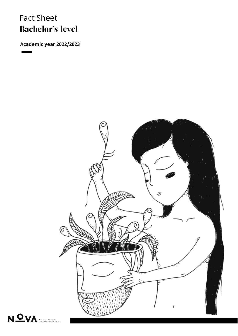## Fact Sheet **Bachelor's level**

**Academic year 2022/2023**

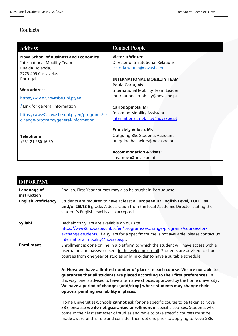## **Contacts**

| <b>Address</b>                               | <b>Contact People</b>                     |
|----------------------------------------------|-------------------------------------------|
| <b>Nova School of Business and Economics</b> | <b>Victoria Winter</b>                    |
| <b>International Mobility Team</b>           | Director of Institutional Relations       |
| Rua da Holanda, 1                            | victoria.winter@novasbe.pt                |
| 2775-405 Carcavelos                          |                                           |
| Portugal                                     | <b>INTERNATIONAL MOBILITY TEAM</b>        |
|                                              | Paula Caria, Ms                           |
| Web address                                  | <b>International Mobility Team Leader</b> |
| https://www2.novasbe.unl.pt/en               | international.mobility@novasbe.pt         |
| $\angle$ Link for general information        | <b>Carlos Spínola, Mr</b>                 |
| https://www2.novasbe.unl.pt/en/programs/ex   | <b>Incoming Mobility Assistant</b>        |
| c hange-programs/general-information         | international.mobility@novasbe.pt         |
|                                              | <b>Franciely Veloso, Ms</b>               |
| <b>Telephone</b>                             | <b>Outgoing BSc Students Assistant</b>    |
| +351 21 380 16 89                            | outgoing.bachelors@novasbe.pt             |
|                                              | <b>Accommodation &amp; Visas:</b>         |
|                                              | lifeatnova@novasbe.pt                     |

| <b>IMPORTANT</b>           |                                                                                                                                                                                                                                                                                                                                                                                 |
|----------------------------|---------------------------------------------------------------------------------------------------------------------------------------------------------------------------------------------------------------------------------------------------------------------------------------------------------------------------------------------------------------------------------|
| Language of<br>instruction | English. First Year courses may also be taught in Portuguese                                                                                                                                                                                                                                                                                                                    |
| <b>English Proficiency</b> | Students are required to have at least a European B2 English Level, TOEFL 84<br>and/or IELTS 6 grade. A declaration from the local Academic Director stating the<br>student's English level is also accepted.                                                                                                                                                                   |
| <b>Syllabi</b>             | Bachelor's Syllabi are available on our site<br>https://www2.novasbe.unl.pt/en/programs/exchange-programs/courses-for-<br>exchange-students. If a syllabi for a specific course is not available, please contact us<br>international.mobility@novasbe.pt.                                                                                                                       |
| <b>Enrollment</b>          | Enrollment is done online in a platform to which the student will have access with a<br>username and password sent in the welcome e-mail. Students are advised to choose<br>courses from one year of studies only, in order to have a suitable schedule.                                                                                                                        |
|                            | At Nova we have a limited number of places in each course. We are not able to<br>guarantee that all students are placed according to their first preferences: in<br>this way, one is advised to have alternative choices approved by the home university.<br>We have a period of changes (add/drop) where students may change their<br>options, pending availability of places. |
|                            | Home Universities/Schools cannot ask for one specific course to be taken at Nova<br>SBE, because we do not guarantee enrollment in specific courses. Students who<br>come in their last semester of studies and have to take specific courses must be<br>made aware of this rule and consider their options prior to applying to Nova SBE.                                      |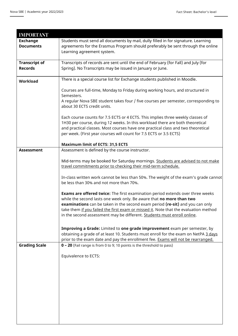| <b>IMPORTANT</b>     |                                                                                                                                                  |
|----------------------|--------------------------------------------------------------------------------------------------------------------------------------------------|
| <b>Exchange</b>      | Students must send all documents by mail, dully filled in for signature. Learning                                                                |
| <b>Documents</b>     | agreements for the Erasmus Program should preferably be sent through the online                                                                  |
|                      | Learning agreement system.                                                                                                                       |
| <b>Transcript of</b> | Transcripts of records are sent until the end of February (for Fall) and July (for                                                               |
| <b>Records</b>       | Spring). No Transcripts may be issued in January or June.                                                                                        |
|                      |                                                                                                                                                  |
| <b>Workload</b>      | There is a special course list for Exchange students published in Moodle.                                                                        |
|                      | Courses are full-time, Monday to Friday during working hours, and structured in                                                                  |
|                      | Semesters.                                                                                                                                       |
|                      | A regular Nova SBE student takes four / five courses per semester, corresponding to<br>about 30 ECTS credit units.                               |
|                      |                                                                                                                                                  |
|                      | Each course counts for 7.5 ECTS or 4 ECTS. This implies three weekly classes of                                                                  |
|                      | 1H30 per course, during 12 weeks. In this workload there are both theoretical                                                                    |
|                      | and practical classes. Most courses have one practical class and two theoretical                                                                 |
|                      | per week. (First year courses will count for 7.5 ECTS or 3.5 ECTS)                                                                               |
|                      | <b>Maximum limit of ECTS: 31,5 ECTS</b>                                                                                                          |
| <b>Assessment</b>    | Assessment is defined by the course instructor.                                                                                                  |
|                      |                                                                                                                                                  |
|                      | Mid-terms may be booked for Saturday mornings. Students are advised to not make<br>travel commitments prior to checking their mid-term schedule. |
|                      |                                                                                                                                                  |
|                      | In-class written work cannot be less than 50%. The weight of the exam's grade cannot                                                             |
|                      | be less than 30% and not more than 70%.                                                                                                          |
|                      | <b>Exams are offered twice:</b> The first examination period extends over three weeks                                                            |
|                      | while the second lasts one week only. Be aware that no more than two                                                                             |
|                      | examinations can be taken in the second exam period (re-sit) and you can only                                                                    |
|                      | take them if you failed the first exam or missed it. Note that the evaluation method                                                             |
|                      | in the second assessment may be different. Students must enroll online.                                                                          |
|                      | Improving a Grade: Limited to one grade improvement exam per semester, by                                                                        |
|                      | obtaining a grade of at least 10. Students must enroll for the exam on NetPA 3 days                                                              |
|                      | prior to the exam date and pay the enrollment fee. Exams will not be rearranged.                                                                 |
| <b>Grading Scale</b> | <b>0 - 20</b> (Fail range is from 0 to 9; 10 points is the threshold to pass)                                                                    |
|                      | <b>Equivalence to ECTS:</b>                                                                                                                      |
|                      |                                                                                                                                                  |
|                      |                                                                                                                                                  |
|                      |                                                                                                                                                  |
|                      |                                                                                                                                                  |
|                      |                                                                                                                                                  |
|                      |                                                                                                                                                  |
|                      |                                                                                                                                                  |
|                      |                                                                                                                                                  |
|                      |                                                                                                                                                  |
|                      |                                                                                                                                                  |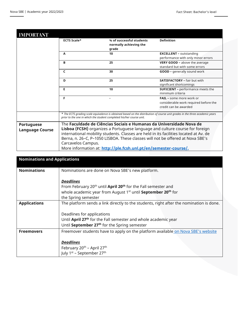| % of successful students<br>normally achieving the<br>grade<br>10                                                                                                                                                                                                                                                                                    | <b>Definition</b><br><b>EXCELLENT - outstanding</b>                                               |  |
|------------------------------------------------------------------------------------------------------------------------------------------------------------------------------------------------------------------------------------------------------------------------------------------------------------------------------------------------------|---------------------------------------------------------------------------------------------------|--|
|                                                                                                                                                                                                                                                                                                                                                      |                                                                                                   |  |
|                                                                                                                                                                                                                                                                                                                                                      | performance with only minor errors                                                                |  |
| 25                                                                                                                                                                                                                                                                                                                                                   | VERY GOOD - above the average<br>standard but with some errors                                    |  |
| 30                                                                                                                                                                                                                                                                                                                                                   | <b>GOOD</b> - generally sound work                                                                |  |
| 25                                                                                                                                                                                                                                                                                                                                                   | <b>SATISFACTORY - fair but with</b><br>significant shortcomings                                   |  |
| 10                                                                                                                                                                                                                                                                                                                                                   | <b>SUFICIENT</b> - performance meets the<br>minimum criteria                                      |  |
|                                                                                                                                                                                                                                                                                                                                                      | <b>FAIL - some more work or</b><br>considerable work required before the<br>credit can be awarded |  |
| * The ECTS grading scale equivalence is obtained based on the distribution of course unit grades in the three academic years<br>prior to the one in which the student completed his/her course unit.                                                                                                                                                 |                                                                                                   |  |
| The Faculdade de Ciências Sociais e Humanas da Universidade Nova de<br>Lisboa (FCSH) organizes a Portuguese language and culture course for foreign<br>international mobility students. Classes are held in its facilities located at Av. de<br>Berna, n. 26-C, P-1050 LISBOA. These classes will not be offered at Nova SBE's<br>Carcavelos Campus. |                                                                                                   |  |
|                                                                                                                                                                                                                                                                                                                                                      | More information at: http://ple.fcsh.unl.pt/en/semester-course/.                                  |  |

| <b>Nominations and Applications</b> |                                                                                                                                                                                                                                      |  |
|-------------------------------------|--------------------------------------------------------------------------------------------------------------------------------------------------------------------------------------------------------------------------------------|--|
| <b>Nominations</b>                  | Nominations are done on Nova SBE's new platform.                                                                                                                                                                                     |  |
|                                     | <b>Deadlines</b><br>From February 20 <sup>th</sup> until <b>April 20<sup>th</sup></b> for the Fall semester and<br>whole academic year from August 1 <sup>st</sup> until <b>September 20<sup>th</sup></b> for<br>the Spring semester |  |
| <b>Applications</b>                 | The platform sends a link directly to the students, right after the nomination is done.                                                                                                                                              |  |
|                                     | Deadlines for applications<br>Until April 27 <sup>th</sup> for the Fall semester and whole academic year<br>Until September 27 <sup>th</sup> for the Spring semester                                                                 |  |
| <b>Freemovers</b>                   | Freemover students have to apply on the platform available on Nova SBE's website                                                                                                                                                     |  |
|                                     | <b>Deadlines</b><br>February 20 <sup>th</sup> - April 27 <sup>th</sup><br>July 1 <sup>st</sup> - September 27 <sup>th</sup>                                                                                                          |  |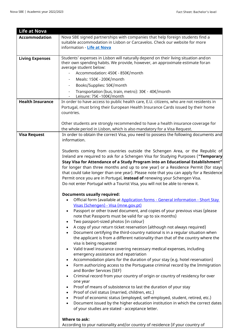| <b>Life at Nova</b>     |                                                                                                                                                                           |
|-------------------------|---------------------------------------------------------------------------------------------------------------------------------------------------------------------------|
| <b>Accommodation</b>    | Nova SBE signed partnerships with companies that help foreign students find a                                                                                             |
|                         | suitable accommodation in Lisbon or Carcavelos. Check our website for more                                                                                                |
|                         | information - Life at Nova                                                                                                                                                |
| <b>Living Expenses</b>  | Students' expenses in Lisbon will naturally depend on their living situation and on                                                                                       |
|                         | their own spending habits. We provide, however, an approximate estimate foran                                                                                             |
|                         | average student below:                                                                                                                                                    |
|                         | Accommodation: 450€ - 850€/month                                                                                                                                          |
|                         | Meals: 150€ - 200€/month                                                                                                                                                  |
|                         | Books/Supplies: 50€/month                                                                                                                                                 |
|                         | Transportation (bus, train, metro): 30€ - 40€/month<br>Leisure: 75€ -100€/month                                                                                           |
| <b>Health Insurance</b> | In order to have access to public health care, E.U. citizens, who are not residents in                                                                                    |
|                         | Portugal, must bring their European Health Insurance Cards issued by their home                                                                                           |
|                         | countries.                                                                                                                                                                |
|                         | Other students are strongly recommended to have a health insurance coverage for                                                                                           |
|                         | the whole period in Lisbon, which is also mandatory for a Visa Request.                                                                                                   |
| <b>Visa Request</b>     | In order to obtain the correct Visa, you need to possess the following documents and                                                                                      |
|                         | information.                                                                                                                                                              |
|                         |                                                                                                                                                                           |
|                         | Students coming from countries outside the Schengen Area, or the Republic of                                                                                              |
|                         | Ireland are required to ask for a Schengen Visa for Studying Purposes ("Temporary<br>Stay Visa for Attendance of a Study Program into an Educational Establishment"       |
|                         | for longer than three months and up to one year) or a Residence Permit (for stays                                                                                         |
|                         | that could take longer than one year). Please note that you can apply for a Residence                                                                                     |
|                         | Permit once you are in Portugal, instead of renewing your Schengen Visa.                                                                                                  |
|                         | Do not enter Portugal with a Tourist Visa, you will not be able to renew it.                                                                                              |
|                         |                                                                                                                                                                           |
|                         | <b>Documents usually required:</b>                                                                                                                                        |
|                         | Official form (available at Application forms - General information - Short Stay                                                                                          |
|                         | Visas (Schengen) - Visa (mne.gov.pt)<br>Passport or other travel document, and copies of your previous visas (please                                                      |
|                         | note that Passports must be valid for up to six months)                                                                                                                   |
|                         | Two passport-sized photos (in colour)                                                                                                                                     |
|                         | A copy of your return ticket reservation (although not always required)<br>$\bullet$                                                                                      |
|                         | Document certifying the third-country national is in a regular situation when                                                                                             |
|                         | the applicant is from a different nationality than that of the country where the                                                                                          |
|                         | visa is being requested                                                                                                                                                   |
|                         | Valid travel insurance covering necessary medical expenses, including<br>٠<br>emergency assistance and repatriation                                                       |
|                         | Accommodation plans for the duration of your stay (e.g. hotel reservation)<br>$\bullet$                                                                                   |
|                         | Form authorizing access to the Portuguese criminal record by the Immigration                                                                                              |
|                         | and Border Services (SEF)                                                                                                                                                 |
|                         | Criminal record from your country of origin or country of residency for over<br>$\bullet$                                                                                 |
|                         | one year                                                                                                                                                                  |
|                         | Proof of means of subsistence to last the duration of your stay                                                                                                           |
|                         | Proof of civil status (married, children, etc.)<br>$\bullet$                                                                                                              |
|                         | Proof of economic status (employed, self-employed, student, retired, etc.)<br>$\bullet$<br>Document issued by the higher education institution in which the correct dates |
|                         | $\bullet$<br>of your studies are stated - acceptance letter.                                                                                                              |
|                         |                                                                                                                                                                           |
|                         | Where to ask:                                                                                                                                                             |
|                         | According to your nationality and/or country of residence (if your country of                                                                                             |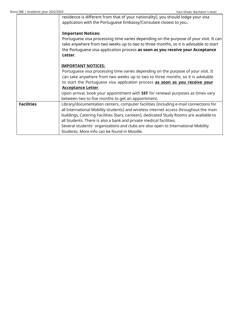| Nova SBE   Academic year 2022/2023 | Fact Sheet: Bachelor's level                                                                                                                                   |
|------------------------------------|----------------------------------------------------------------------------------------------------------------------------------------------------------------|
|                                    | residence is different from that of your nationality), you should lodge your visa                                                                              |
|                                    | application with the Portuguese Embassy/Consulate closest to you.                                                                                              |
|                                    |                                                                                                                                                                |
|                                    | <b>Important Notices:</b>                                                                                                                                      |
|                                    | Portuguese visa processing time varies depending on the purpose of your visit. It can                                                                          |
|                                    | take anywhere from two weeks up to two to three months, so it is advisable to start                                                                            |
|                                    | the Portuguese visa application process as soon as you receive your Acceptance                                                                                 |
|                                    | Letter.                                                                                                                                                        |
|                                    | <b>IMPORTANT NOTICES:</b>                                                                                                                                      |
|                                    |                                                                                                                                                                |
|                                    | Portuguese visa processing time varies depending on the purpose of your visit. It                                                                              |
|                                    | can take anywhere from two weeks up to two to three months, so it is advisable<br>to start the Portuguese visa application process as soon as you receive your |
|                                    | <b>Acceptance Letter.</b>                                                                                                                                      |
|                                    | Upon arrival, book your appointment with SEF for renewal purposes as times vary                                                                                |
|                                    | between two to five months to get an appointment.                                                                                                              |
| <b>Facilities</b>                  | Library/documentation centers, computer facilities (including e-mail connections for                                                                           |
|                                    | all International Mobility students) and wireless internet access throughout the main                                                                          |
|                                    | buildings, Catering Facilities (bars, canteen), dedicated Study Rooms are available to                                                                         |
|                                    | all Students. There is also a bank and private medical facilities.                                                                                             |
|                                    | Several students' organizations and clubs are also open to International Mobility                                                                              |
|                                    | Students. More info can be found in Moodle.                                                                                                                    |